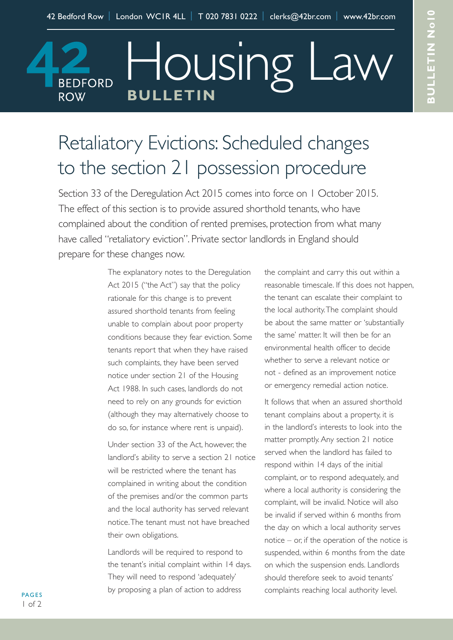Housing Law

## Retaliatory Evictions: Scheduled changes to the section 21 possession procedure

**BULLETIN**

**BEDFORD** 

**ROW** 

Section 33 of the Deregulation Act 2015 comes into force on 1 October 2015. The effect of this section is to provide assured shorthold tenants, who have complained about the condition of rented premises, protection from what many have called "retaliatory eviction". Private sector landlords in England should prepare for these changes now.

> The explanatory notes to the Deregulation Act 2015 ("the Act") say that the policy rationale for this change is to prevent assured shorthold tenants from feeling unable to complain about poor property conditions because they fear eviction. Some tenants report that when they have raised such complaints, they have been served notice under section 21 of the Housing Act 1988. In such cases, landlords do not need to rely on any grounds for eviction (although they may alternatively choose to do so, for instance where rent is unpaid).

Under section 33 of the Act, however, the landlord's ability to serve a section 21 notice will be restricted where the tenant has complained in writing about the condition of the premises and/or the common parts and the local authority has served relevant notice.The tenant must not have breached their own obligations.

Landlords will be required to respond to the tenant's initial complaint within 14 days. They will need to respond 'adequately' by proposing a plan of action to address

the complaint and carry this out within a reasonable timescale. If this does not happen, the tenant can escalate their complaint to the local authority.The complaint should be about the same matter or 'substantially the same' matter. It will then be for an environmental health officer to decide whether to serve a relevant notice or not - defined as an improvement notice or emergency remedial action notice.

It follows that when an assured shorthold tenant complains about a property, it is in the landlord's interests to look into the matter promptly.Any section 21 notice served when the landlord has failed to respond within 14 days of the initial complaint, or to respond adequately, and where a local authority is considering the complaint, will be invalid. Notice will also be invalid if served within 6 months from the day on which a local authority serves notice – or, if the operation of the notice is suspended, within 6 months from the date on which the suspension ends. Landlords should therefore seek to avoid tenants' complaints reaching local authority level.